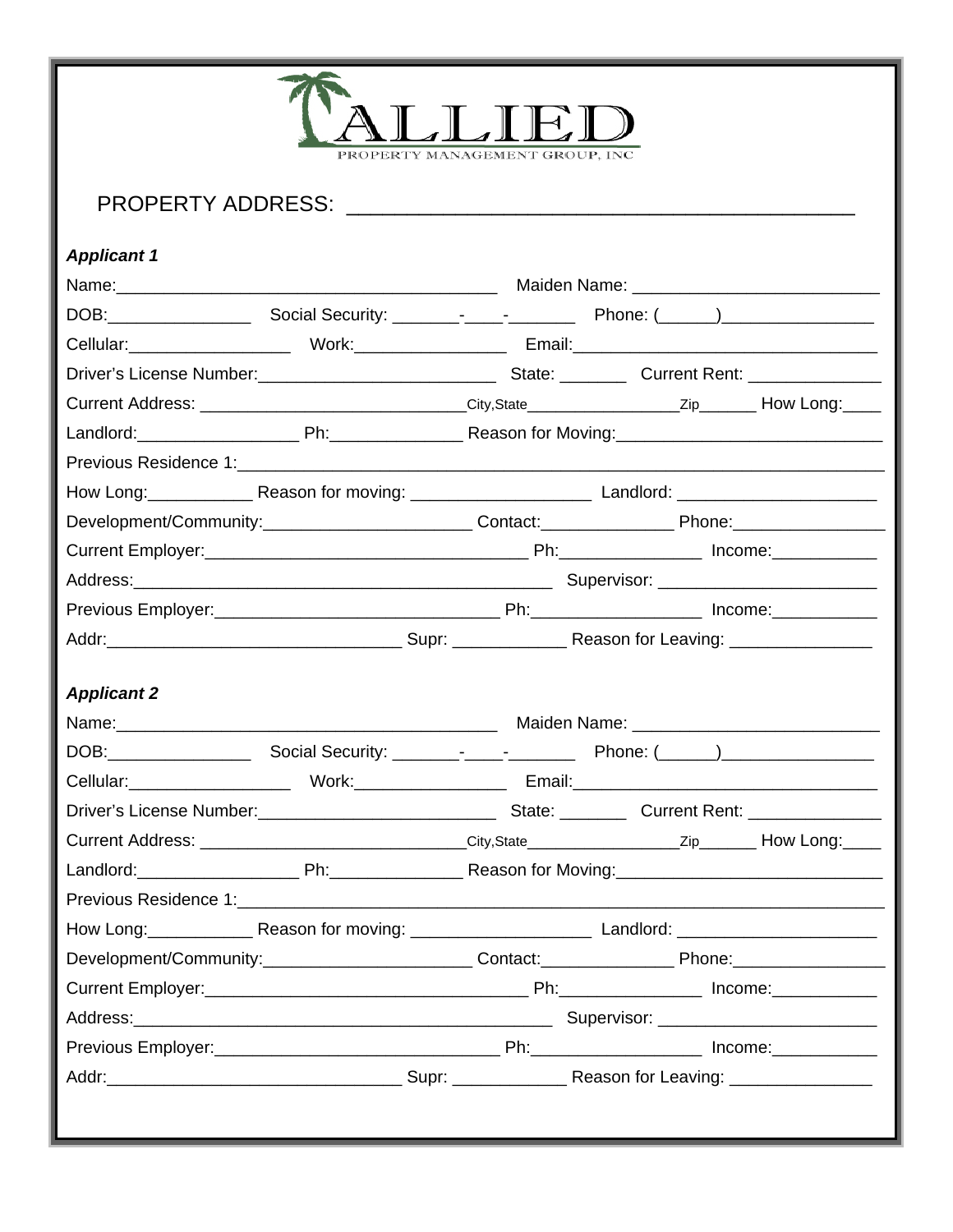| PROPERTY MANAGEMENT GROUP. INC.                                                                                                                                                                                                |  |                                  |  |  |  |
|--------------------------------------------------------------------------------------------------------------------------------------------------------------------------------------------------------------------------------|--|----------------------------------|--|--|--|
| <b>Applicant 1</b>                                                                                                                                                                                                             |  |                                  |  |  |  |
| Name: 2008. [2018] Maiden Name: 2018. [2018] Maiden Name: 2018. [2018] Maiden Name: 2018. [2018] Maiden Name: 2018. [2018] Maiden Name: 2018. [2018] Maiden Name: 2018. [2018] Maiden Manne 2018. [2018] Maiden Manne 2018. [2 |  |                                  |  |  |  |
|                                                                                                                                                                                                                                |  |                                  |  |  |  |
|                                                                                                                                                                                                                                |  |                                  |  |  |  |
|                                                                                                                                                                                                                                |  |                                  |  |  |  |
| Current Address: ________________________________City,State____________________Zip________ How Long:_____                                                                                                                      |  |                                  |  |  |  |
|                                                                                                                                                                                                                                |  |                                  |  |  |  |
|                                                                                                                                                                                                                                |  |                                  |  |  |  |
| How Long: Reason for moving: ___________________ Landlord: _____________________                                                                                                                                               |  |                                  |  |  |  |
| Development/Community:___________________________Contact:___________________Phone:__________________                                                                                                                           |  |                                  |  |  |  |
|                                                                                                                                                                                                                                |  |                                  |  |  |  |
|                                                                                                                                                                                                                                |  |                                  |  |  |  |
|                                                                                                                                                                                                                                |  |                                  |  |  |  |
|                                                                                                                                                                                                                                |  |                                  |  |  |  |
|                                                                                                                                                                                                                                |  |                                  |  |  |  |
| <b>Applicant 2</b>                                                                                                                                                                                                             |  |                                  |  |  |  |
|                                                                                                                                                                                                                                |  | Maiden Name: Manual Maiden Name: |  |  |  |
|                                                                                                                                                                                                                                |  |                                  |  |  |  |
|                                                                                                                                                                                                                                |  |                                  |  |  |  |
|                                                                                                                                                                                                                                |  |                                  |  |  |  |
| Current Address: _______________________________City,State_______________________Zip________How Long:_____                                                                                                                     |  |                                  |  |  |  |
|                                                                                                                                                                                                                                |  |                                  |  |  |  |
|                                                                                                                                                                                                                                |  |                                  |  |  |  |
|                                                                                                                                                                                                                                |  |                                  |  |  |  |
| Development/Community:____________________________Contact:___________________Phone:_________________                                                                                                                           |  |                                  |  |  |  |
|                                                                                                                                                                                                                                |  |                                  |  |  |  |
|                                                                                                                                                                                                                                |  |                                  |  |  |  |
|                                                                                                                                                                                                                                |  |                                  |  |  |  |
|                                                                                                                                                                                                                                |  |                                  |  |  |  |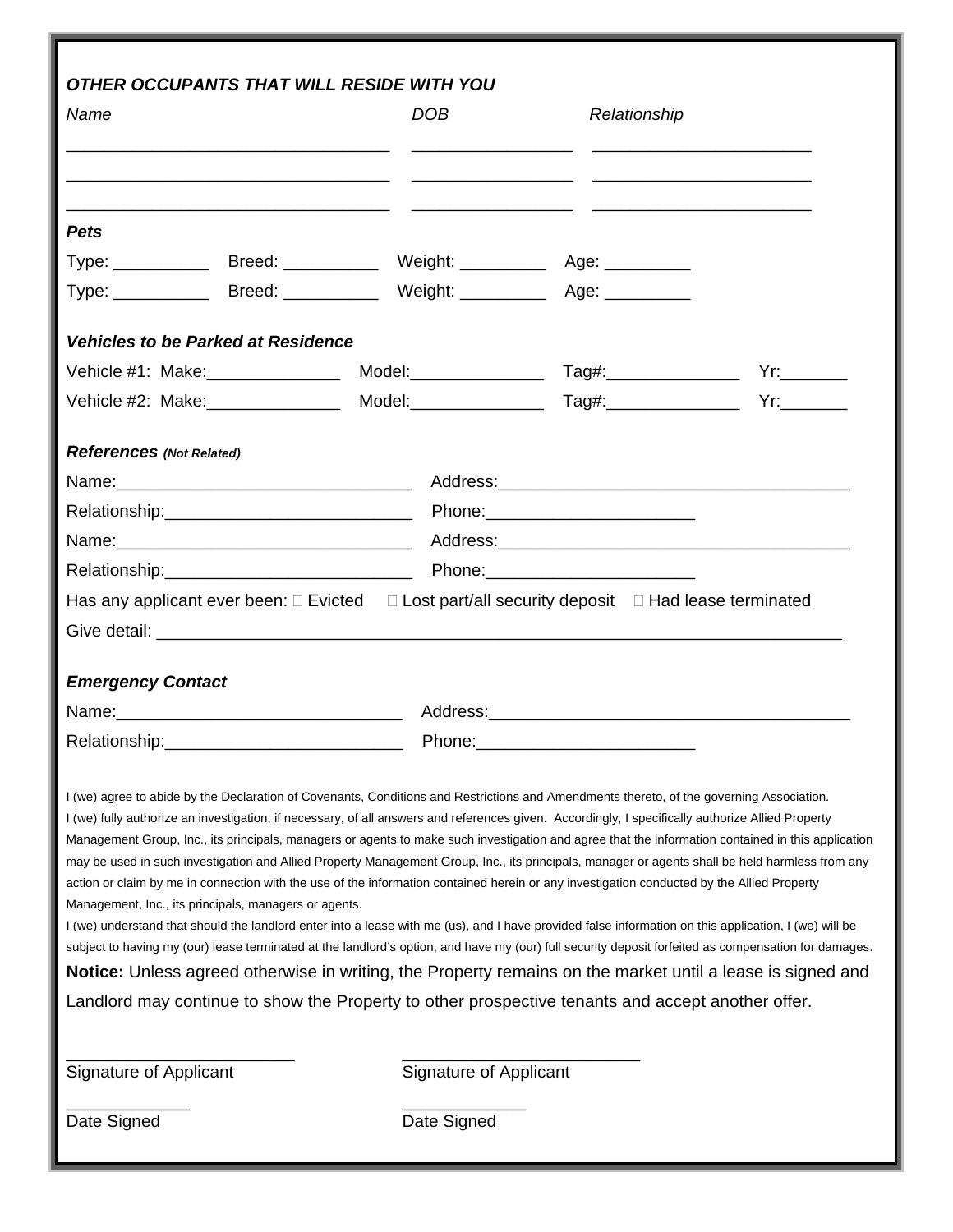|                                                       |                                                                                                                       | OTHER OCCUPANTS THAT WILL RESIDE WITH YOU                                                                                                                                                                                      |                                                                                                                                                                                                                                |                                                                                                                                                      |  |
|-------------------------------------------------------|-----------------------------------------------------------------------------------------------------------------------|--------------------------------------------------------------------------------------------------------------------------------------------------------------------------------------------------------------------------------|--------------------------------------------------------------------------------------------------------------------------------------------------------------------------------------------------------------------------------|------------------------------------------------------------------------------------------------------------------------------------------------------|--|
| Name                                                  |                                                                                                                       | <b>DOB</b>                                                                                                                                                                                                                     | Relationship                                                                                                                                                                                                                   |                                                                                                                                                      |  |
|                                                       | <u> 1989 - Johann Harry Harry Harry Harry Harry Harry Harry Harry Harry Harry Harry Harry Harry Harry Harry Harry</u> |                                                                                                                                                                                                                                |                                                                                                                                                                                                                                |                                                                                                                                                      |  |
|                                                       |                                                                                                                       |                                                                                                                                                                                                                                | <u> 1980 - Jan Alexander Harry Harry Harry Harry Harry Harry Harry Harry Harry Harry Harry Harry Harry Harry Harry</u>                                                                                                         |                                                                                                                                                      |  |
| <b>Pets</b>                                           |                                                                                                                       |                                                                                                                                                                                                                                |                                                                                                                                                                                                                                |                                                                                                                                                      |  |
|                                                       |                                                                                                                       | Type: _______________Breed: _________________Weight: ____________________________                                                                                                                                              |                                                                                                                                                                                                                                |                                                                                                                                                      |  |
|                                                       |                                                                                                                       | Type: ______________Breed: ________________Weight: ______________________________                                                                                                                                              |                                                                                                                                                                                                                                |                                                                                                                                                      |  |
| <b>Vehicles to be Parked at Residence</b>             |                                                                                                                       |                                                                                                                                                                                                                                |                                                                                                                                                                                                                                |                                                                                                                                                      |  |
| Vehicle #1: Make: ________________                    |                                                                                                                       |                                                                                                                                                                                                                                |                                                                                                                                                                                                                                |                                                                                                                                                      |  |
|                                                       |                                                                                                                       | Vehicle #2: Make: ________________ Model: ________________ Tag#: _______________                                                                                                                                               |                                                                                                                                                                                                                                |                                                                                                                                                      |  |
| <b>References (Not Related)</b>                       |                                                                                                                       |                                                                                                                                                                                                                                |                                                                                                                                                                                                                                |                                                                                                                                                      |  |
|                                                       |                                                                                                                       | Name: 1990 Mame: 2008 Manual Music Communication of Address: 2008 Manual Music Communication of Music Communication of Music Communication of Music Communication of Music Communication of Music Communication of Music Commu |                                                                                                                                                                                                                                |                                                                                                                                                      |  |
|                                                       |                                                                                                                       |                                                                                                                                                                                                                                |                                                                                                                                                                                                                                |                                                                                                                                                      |  |
|                                                       |                                                                                                                       |                                                                                                                                                                                                                                | Name: 1990 Mame: 2000 Manual Music Communication of Address: 2001 Manual Music Communication of Music Communication of Music Communication of Music Communication of Music Communication of Music Communication of Music Commu |                                                                                                                                                      |  |
|                                                       |                                                                                                                       |                                                                                                                                                                                                                                |                                                                                                                                                                                                                                |                                                                                                                                                      |  |
|                                                       |                                                                                                                       | Has any applicant ever been: $\Box$ Evicted $\Box$ Lost part/all security deposit $\Box$ Had lease terminated                                                                                                                  |                                                                                                                                                                                                                                |                                                                                                                                                      |  |
|                                                       |                                                                                                                       |                                                                                                                                                                                                                                |                                                                                                                                                                                                                                |                                                                                                                                                      |  |
| <b>Emergency Contact</b>                              |                                                                                                                       |                                                                                                                                                                                                                                |                                                                                                                                                                                                                                |                                                                                                                                                      |  |
|                                                       |                                                                                                                       |                                                                                                                                                                                                                                |                                                                                                                                                                                                                                |                                                                                                                                                      |  |
| Relationship:                                         |                                                                                                                       | Phone:                                                                                                                                                                                                                         |                                                                                                                                                                                                                                |                                                                                                                                                      |  |
|                                                       |                                                                                                                       | I (we) agree to abide by the Declaration of Covenants, Conditions and Restrictions and Amendments thereto, of the governing Association.                                                                                       |                                                                                                                                                                                                                                |                                                                                                                                                      |  |
|                                                       |                                                                                                                       | I (we) fully authorize an investigation, if necessary, of all answers and references given. Accordingly, I specifically authorize Allied Property                                                                              |                                                                                                                                                                                                                                | Management Group, Inc., its principals, managers or agents to make such investigation and agree that the information contained in this application   |  |
|                                                       |                                                                                                                       |                                                                                                                                                                                                                                |                                                                                                                                                                                                                                | may be used in such investigation and Allied Property Management Group, Inc., its principals, manager or agents shall be held harmless from any      |  |
|                                                       |                                                                                                                       | action or claim by me in connection with the use of the information contained herein or any investigation conducted by the Allied Property                                                                                     |                                                                                                                                                                                                                                |                                                                                                                                                      |  |
| Management, Inc., its principals, managers or agents. |                                                                                                                       | I (we) understand that should the landlord enter into a lease with me (us), and I have provided false information on this application, I (we) will be                                                                          |                                                                                                                                                                                                                                |                                                                                                                                                      |  |
|                                                       |                                                                                                                       |                                                                                                                                                                                                                                |                                                                                                                                                                                                                                | subject to having my (our) lease terminated at the landlord's option, and have my (our) full security deposit forfeited as compensation for damages. |  |
|                                                       |                                                                                                                       |                                                                                                                                                                                                                                |                                                                                                                                                                                                                                | Notice: Unless agreed otherwise in writing, the Property remains on the market until a lease is signed and                                           |  |
|                                                       |                                                                                                                       | Landlord may continue to show the Property to other prospective tenants and accept another offer.                                                                                                                              |                                                                                                                                                                                                                                |                                                                                                                                                      |  |
|                                                       |                                                                                                                       |                                                                                                                                                                                                                                |                                                                                                                                                                                                                                |                                                                                                                                                      |  |
|                                                       |                                                                                                                       |                                                                                                                                                                                                                                |                                                                                                                                                                                                                                |                                                                                                                                                      |  |
| Signature of Applicant                                |                                                                                                                       | Signature of Applicant                                                                                                                                                                                                         |                                                                                                                                                                                                                                |                                                                                                                                                      |  |